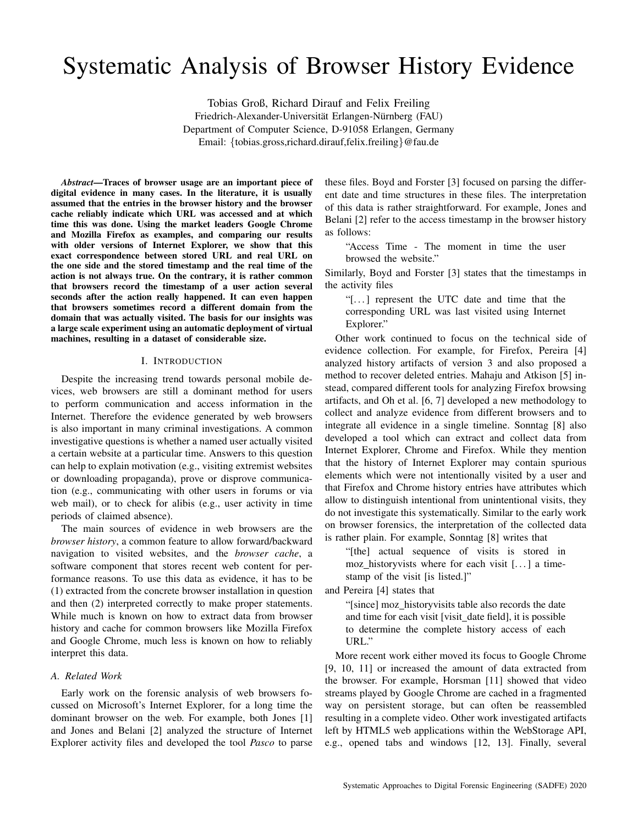# Systematic Analysis of Browser History Evidence

Tobias Groß, Richard Dirauf and Felix Freiling Friedrich-Alexander-Universität Erlangen-Nürnberg (FAU) Department of Computer Science, D-91058 Erlangen, Germany Email: {tobias.gross,richard.dirauf,felix.freiling}@fau.de

*Abstract*—Traces of browser usage are an important piece of digital evidence in many cases. In the literature, it is usually assumed that the entries in the browser history and the browser cache reliably indicate which URL was accessed and at which time this was done. Using the market leaders Google Chrome and Mozilla Firefox as examples, and comparing our results with older versions of Internet Explorer, we show that this exact correspondence between stored URL and real URL on the one side and the stored timestamp and the real time of the action is not always true. On the contrary, it is rather common that browsers record the timestamp of a user action several seconds after the action really happened. It can even happen that browsers sometimes record a different domain from the domain that was actually visited. The basis for our insights was a large scale experiment using an automatic deployment of virtual machines, resulting in a dataset of considerable size.

### I. INTRODUCTION

Despite the increasing trend towards personal mobile devices, web browsers are still a dominant method for users to perform communication and access information in the Internet. Therefore the evidence generated by web browsers is also important in many criminal investigations. A common investigative questions is whether a named user actually visited a certain website at a particular time. Answers to this question can help to explain motivation (e.g., visiting extremist websites or downloading propaganda), prove or disprove communication (e.g., communicating with other users in forums or via web mail), or to check for alibis (e.g., user activity in time periods of claimed absence).

The main sources of evidence in web browsers are the *browser history*, a common feature to allow forward/backward navigation to visited websites, and the *browser cache*, a software component that stores recent web content for performance reasons. To use this data as evidence, it has to be (1) extracted from the concrete browser installation in question and then (2) interpreted correctly to make proper statements. While much is known on how to extract data from browser history and cache for common browsers like Mozilla Firefox and Google Chrome, much less is known on how to reliably interpret this data.

## *A. Related Work*

Early work on the forensic analysis of web browsers focussed on Microsoft's Internet Explorer, for a long time the dominant browser on the web. For example, both Jones [1] and Jones and Belani [2] analyzed the structure of Internet Explorer activity files and developed the tool *Pasco* to parse

these files. Boyd and Forster [3] focused on parsing the different date and time structures in these files. The interpretation of this data is rather straightforward. For example, Jones and Belani [2] refer to the access timestamp in the browser history as follows:

"Access Time - The moment in time the user browsed the website."

Similarly, Boyd and Forster [3] states that the timestamps in the activity files

"[. . . ] represent the UTC date and time that the corresponding URL was last visited using Internet Explorer."

Other work continued to focus on the technical side of evidence collection. For example, for Firefox, Pereira [4] analyzed history artifacts of version 3 and also proposed a method to recover deleted entries. Mahaju and Atkison [5] instead, compared different tools for analyzing Firefox browsing artifacts, and Oh et al. [6, 7] developed a new methodology to collect and analyze evidence from different browsers and to integrate all evidence in a single timeline. Sonntag [8] also developed a tool which can extract and collect data from Internet Explorer, Chrome and Firefox. While they mention that the history of Internet Explorer may contain spurious elements which were not intentionally visited by a user and that Firefox and Chrome history entries have attributes which allow to distinguish intentional from unintentional visits, they do not investigate this systematically. Similar to the early work on browser forensics, the interpretation of the collected data is rather plain. For example, Sonntag [8] writes that

"[the] actual sequence of visits is stored in moz historyvists where for each visit  $[...]$  a timestamp of the visit [is listed.]"

and Pereira [4] states that

"[since] moz historyvisits table also records the date and time for each visit [visit\_date field], it is possible to determine the complete history access of each URL."

More recent work either moved its focus to Google Chrome [9, 10, 11] or increased the amount of data extracted from the browser. For example, Horsman [11] showed that video streams played by Google Chrome are cached in a fragmented way on persistent storage, but can often be reassembled resulting in a complete video. Other work investigated artifacts left by HTML5 web applications within the WebStorage API, e.g., opened tabs and windows [12, 13]. Finally, several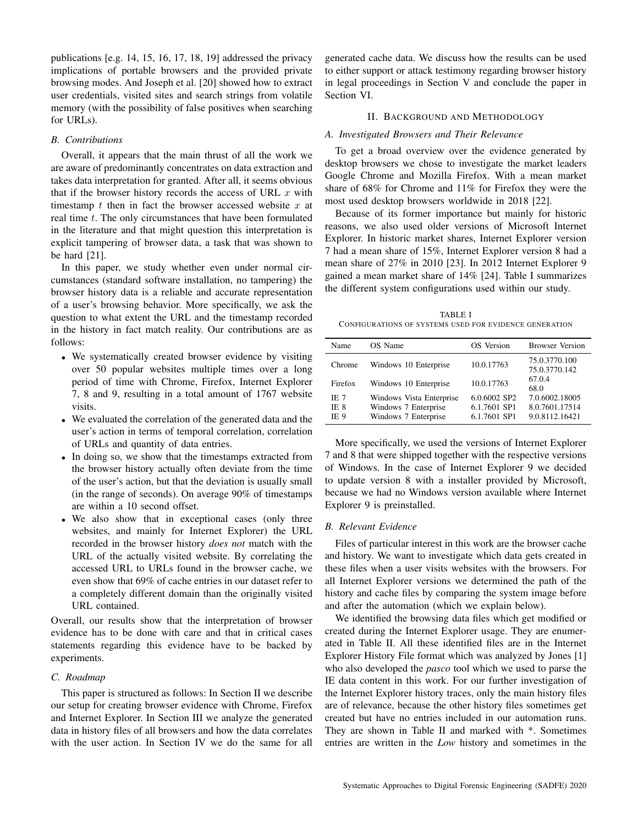publications [e.g. 14, 15, 16, 17, 18, 19] addressed the privacy implications of portable browsers and the provided private browsing modes. And Joseph et al. [20] showed how to extract user credentials, visited sites and search strings from volatile memory (with the possibility of false positives when searching for URLs).

#### *B. Contributions*

Overall, it appears that the main thrust of all the work we are aware of predominantly concentrates on data extraction and takes data interpretation for granted. After all, it seems obvious that if the browser history records the access of URL  $x$  with timestamp  $t$  then in fact the browser accessed website  $x$  at real time  $t$ . The only circumstances that have been formulated in the literature and that might question this interpretation is explicit tampering of browser data, a task that was shown to be hard [21].

In this paper, we study whether even under normal circumstances (standard software installation, no tampering) the browser history data is a reliable and accurate representation of a user's browsing behavior. More specifically, we ask the question to what extent the URL and the timestamp recorded in the history in fact match reality. Our contributions are as follows:

- We systematically created browser evidence by visiting over 50 popular websites multiple times over a long period of time with Chrome, Firefox, Internet Explorer 7, 8 and 9, resulting in a total amount of 1767 website visits.
- We evaluated the correlation of the generated data and the user's action in terms of temporal correlation, correlation of URLs and quantity of data entries.
- In doing so, we show that the timestamps extracted from the browser history actually often deviate from the time of the user's action, but that the deviation is usually small (in the range of seconds). On average 90% of timestamps are within a 10 second offset.
- We also show that in exceptional cases (only three websites, and mainly for Internet Explorer) the URL recorded in the browser history *does not* match with the URL of the actually visited website. By correlating the accessed URL to URLs found in the browser cache, we even show that 69% of cache entries in our dataset refer to a completely different domain than the originally visited URL contained.

Overall, our results show that the interpretation of browser evidence has to be done with care and that in critical cases statements regarding this evidence have to be backed by experiments.

#### *C. Roadmap*

This paper is structured as follows: In Section II we describe our setup for creating browser evidence with Chrome, Firefox and Internet Explorer. In Section III we analyze the generated data in history files of all browsers and how the data correlates with the user action. In Section IV we do the same for all

generated cache data. We discuss how the results can be used to either support or attack testimony regarding browser history in legal proceedings in Section V and conclude the paper in Section VI.

#### II. BACKGROUND AND METHODOLOGY

#### *A. Investigated Browsers and Their Relevance*

To get a broad overview over the evidence generated by desktop browsers we chose to investigate the market leaders Google Chrome and Mozilla Firefox. With a mean market share of 68% for Chrome and 11% for Firefox they were the most used desktop browsers worldwide in 2018 [22].

Because of its former importance but mainly for historic reasons, we also used older versions of Microsoft Internet Explorer. In historic market shares, Internet Explorer version 7 had a mean share of 15%, Internet Explorer version 8 had a mean share of 27% in 2010 [23]. In 2012 Internet Explorer 9 gained a mean market share of 14% [24]. Table I summarizes the different system configurations used within our study.

TABLE I CONFIGURATIONS OF SYSTEMS USED FOR EVIDENCE GENERATION

| Name                        | OS Name                                                                  | OS Version                                   | <b>Browser Version</b>                             |
|-----------------------------|--------------------------------------------------------------------------|----------------------------------------------|----------------------------------------------------|
| Chrome                      | Windows 10 Enterprise                                                    | 10.0.17763                                   | 75.0.3770.100<br>75.0.3770.142                     |
| Firefox                     | Windows 10 Enterprise                                                    | 10.0.17763                                   | 67.0.4<br>68.0                                     |
| IE 7<br>IE 8<br><b>IE 9</b> | Windows Vista Enterprise<br>Windows 7 Enterprise<br>Windows 7 Enterprise | 6.0.6002 SP2<br>6.1.7601 SP1<br>6.1.7601 SP1 | 7.0.6002.18005<br>8.0.7601.17514<br>9.0.8112.16421 |

More specifically, we used the versions of Internet Explorer 7 and 8 that were shipped together with the respective versions of Windows. In the case of Internet Explorer 9 we decided to update version 8 with a installer provided by Microsoft, because we had no Windows version available where Internet Explorer 9 is preinstalled.

#### *B. Relevant Evidence*

Files of particular interest in this work are the browser cache and history. We want to investigate which data gets created in these files when a user visits websites with the browsers. For all Internet Explorer versions we determined the path of the history and cache files by comparing the system image before and after the automation (which we explain below).

We identified the browsing data files which get modified or created during the Internet Explorer usage. They are enumerated in Table II. All these identified files are in the Internet Explorer History File format which was analyzed by Jones [1] who also developed the *pasco* tool which we used to parse the IE data content in this work. For our further investigation of the Internet Explorer history traces, only the main history files are of relevance, because the other history files sometimes get created but have no entries included in our automation runs. They are shown in Table II and marked with \*. Sometimes entries are written in the *Low* history and sometimes in the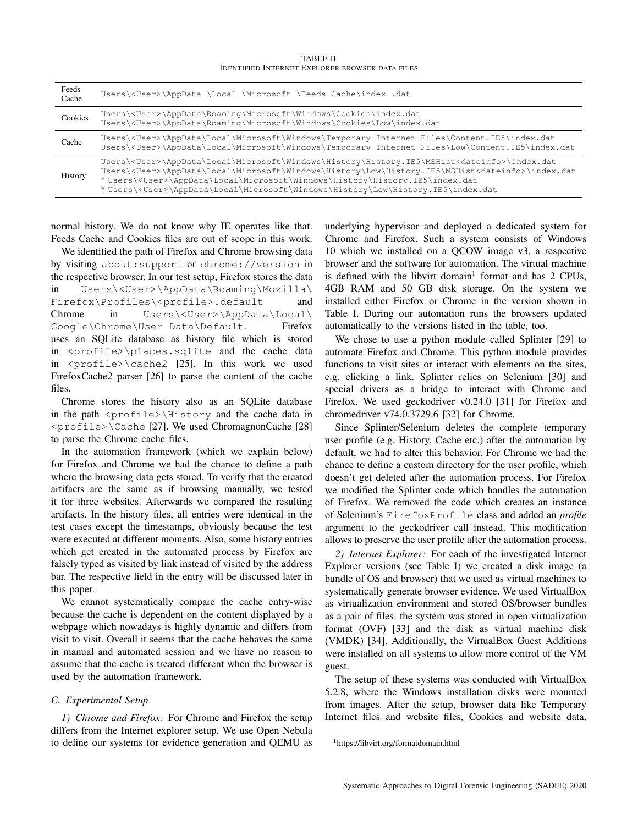TABLE II IDENTIFIED INTERNET EXPLORER BROWSER DATA FILES

| Feeds<br>Cache | Users\ <user>\AppData \Local \Microsoft \Feeds Cache\index .dat</user>                                                                                                                                                                                                                                                                                                                                                 |
|----------------|------------------------------------------------------------------------------------------------------------------------------------------------------------------------------------------------------------------------------------------------------------------------------------------------------------------------------------------------------------------------------------------------------------------------|
| Cookies        | Users\ <user>\AppData\Roaming\Microsoft\Windows\Cookies\index.dat<br/>Users\<user>\AppData\Roaming\Microsoft\Windows\Cookies\Low\index.dat</user></user>                                                                                                                                                                                                                                                               |
| Cache          | Users\ <user>\AppData\Local\Microsoft\Windows\Temporary Internet Files\Content.IE5\index.dat<br/>Users\<user>\AppData\Local\Microsoft\Windows\Temporary Internet Files\Low\Content.IE5\index.dat</user></user>                                                                                                                                                                                                         |
| History        | Users\ <user>\AppData\Local\Microsoft\Windows\History\History.IE5\MSHist<dateinfo>\index.dat<br/>Users\<user>\AppData\Local\Microsoft\Windows\History\Low\History.IE5\MSHist<dateinfo>\index.dat<br/>*Users\<user>\AppData\Local\Microsoft\Windows\History\History.IE5\index.dat<br/>*Users\<user>\AppData\Local\Microsoft\Windows\History\Low\History.IE5\index.dat</user></user></dateinfo></user></dateinfo></user> |

normal history. We do not know why IE operates like that. Feeds Cache and Cookies files are out of scope in this work.

We identified the path of Firefox and Chrome browsing data by visiting about:support or chrome://version in the respective browser. In our test setup, Firefox stores the data in Users\<User>\AppData\Roaming\Mozilla\ Firefox\Profiles\<profile>.default and Chrome in Users\<User>\AppData\Local\ Google\Chrome\User Data\Default. Firefox uses an SQLite database as history file which is stored in <profile>\places.sqlite and the cache data in <profile>\cache2 [25]. In this work we used FirefoxCache2 parser [26] to parse the content of the cache files.

Chrome stores the history also as an SQLite database in the path  $\text{error}$  and the cache data in <profile>\Cache [27]. We used ChromagnonCache [28] to parse the Chrome cache files.

In the automation framework (which we explain below) for Firefox and Chrome we had the chance to define a path where the browsing data gets stored. To verify that the created artifacts are the same as if browsing manually, we tested it for three websites. Afterwards we compared the resulting artifacts. In the history files, all entries were identical in the test cases except the timestamps, obviously because the test were executed at different moments. Also, some history entries which get created in the automated process by Firefox are falsely typed as visited by link instead of visited by the address bar. The respective field in the entry will be discussed later in this paper.

We cannot systematically compare the cache entry-wise because the cache is dependent on the content displayed by a webpage which nowadays is highly dynamic and differs from visit to visit. Overall it seems that the cache behaves the same in manual and automated session and we have no reason to assume that the cache is treated different when the browser is used by the automation framework.

## *C. Experimental Setup*

*1) Chrome and Firefox:* For Chrome and Firefox the setup differs from the Internet explorer setup. We use Open Nebula to define our systems for evidence generation and QEMU as underlying hypervisor and deployed a dedicated system for Chrome and Firefox. Such a system consists of Windows 10 which we installed on a QCOW image v3, a respective browser and the software for automation. The virtual machine is defined with the libvirt domain<sup>1</sup> format and has 2 CPUs, 4GB RAM and 50 GB disk storage. On the system we installed either Firefox or Chrome in the version shown in Table I. During our automation runs the browsers updated automatically to the versions listed in the table, too.

We chose to use a python module called Splinter [29] to automate Firefox and Chrome. This python module provides functions to visit sites or interact with elements on the sites, e.g. clicking a link. Splinter relies on Selenium [30] and special drivers as a bridge to interact with Chrome and Firefox. We used geckodriver v0.24.0 [31] for Firefox and chromedriver v74.0.3729.6 [32] for Chrome.

Since Splinter/Selenium deletes the complete temporary user profile (e.g. History, Cache etc.) after the automation by default, we had to alter this behavior. For Chrome we had the chance to define a custom directory for the user profile, which doesn't get deleted after the automation process. For Firefox we modified the Splinter code which handles the automation of Firefox. We removed the code which creates an instance of Selenium's FirefoxProfile class and added an *profile* argument to the geckodriver call instead. This modification allows to preserve the user profile after the automation process.

*2) Internet Explorer:* For each of the investigated Internet Explorer versions (see Table I) we created a disk image (a bundle of OS and browser) that we used as virtual machines to systematically generate browser evidence. We used VirtualBox as virtualization environment and stored OS/browser bundles as a pair of files: the system was stored in open virtualization format (OVF) [33] and the disk as virtual machine disk (VMDK) [34]. Additionally, the VirtualBox Guest Additions were installed on all systems to allow more control of the VM guest.

The setup of these systems was conducted with VirtualBox 5.2.8, where the Windows installation disks were mounted from images. After the setup, browser data like Temporary Internet files and website files, Cookies and website data,

```
1https://libvirt.org/formatdomain.html
```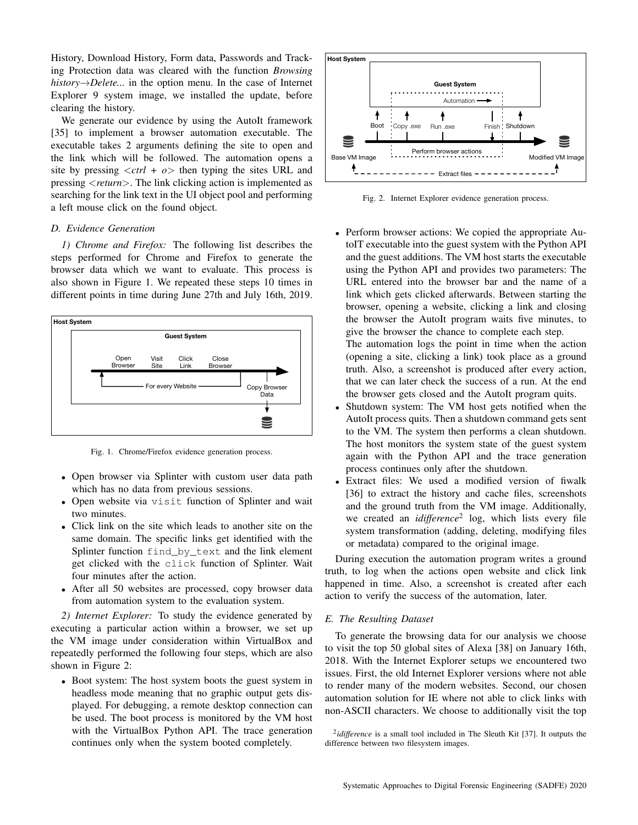History, Download History, Form data, Passwords and Tracking Protection data was cleared with the function *Browsing history*→*Delete...* in the option menu. In the case of Internet Explorer 9 system image, we installed the update, before clearing the history.

We generate our evidence by using the AutoIt framework [35] to implement a browser automation executable. The executable takes 2 arguments defining the site to open and the link which will be followed. The automation opens a site by pressing  $\langle$ *ctrl* +  $\rho$  $>$  then typing the sites URL and pressing <*return*>. The link clicking action is implemented as searching for the link text in the UI object pool and performing a left mouse click on the found object.

## *D. Evidence Generation*

*1) Chrome and Firefox:* The following list describes the steps performed for Chrome and Firefox to generate the browser data which we want to evaluate. This process is also shown in Figure 1. We repeated these steps 10 times in different points in time during June 27th and July 16th, 2019.



Fig. 1. Chrome/Firefox evidence generation process.

- Open browser via Splinter with custom user data path which has no data from previous sessions.
- Open website via visit function of Splinter and wait two minutes.
- Click link on the site which leads to another site on the same domain. The specific links get identified with the Splinter function find\_by\_text and the link element get clicked with the click function of Splinter. Wait four minutes after the action.
- After all 50 websites are processed, copy browser data from automation system to the evaluation system.

*2) Internet Explorer:* To study the evidence generated by executing a particular action within a browser, we set up the VM image under consideration within VirtualBox and repeatedly performed the following four steps, which are also shown in Figure 2:

• Boot system: The host system boots the guest system in headless mode meaning that no graphic output gets displayed. For debugging, a remote desktop connection can be used. The boot process is monitored by the VM host with the VirtualBox Python API. The trace generation continues only when the system booted completely.



Fig. 2. Internet Explorer evidence generation process.

• Perform browser actions: We copied the appropriate AutoIT executable into the guest system with the Python API and the guest additions. The VM host starts the executable using the Python API and provides two parameters: The URL entered into the browser bar and the name of a link which gets clicked afterwards. Between starting the browser, opening a website, clicking a link and closing the browser the AutoIt program waits five minutes, to give the browser the chance to complete each step.

The automation logs the point in time when the action (opening a site, clicking a link) took place as a ground truth. Also, a screenshot is produced after every action, that we can later check the success of a run. At the end the browser gets closed and the AutoIt program quits.

- Shutdown system: The VM host gets notified when the AutoIt process quits. Then a shutdown command gets sent to the VM. The system then performs a clean shutdown. The host monitors the system state of the guest system again with the Python API and the trace generation process continues only after the shutdown.
- Extract files: We used a modified version of fiwalk [36] to extract the history and cache files, screenshots and the ground truth from the VM image. Additionally, we created an *idifference*<sup>2</sup> log, which lists every file system transformation (adding, deleting, modifying files or metadata) compared to the original image.

During execution the automation program writes a ground truth, to log when the actions open website and click link happened in time. Also, a screenshot is created after each action to verify the success of the automation, later.

#### *E. The Resulting Dataset*

To generate the browsing data for our analysis we choose to visit the top 50 global sites of Alexa [38] on January 16th, 2018. With the Internet Explorer setups we encountered two issues. First, the old Internet Explorer versions where not able to render many of the modern websites. Second, our chosen automation solution for IE where not able to click links with non-ASCII characters. We choose to additionally visit the top

<sup>&</sup>lt;sup>2</sup>*idifference* is a small tool included in The Sleuth Kit [37]. It outputs the difference between two filesystem images.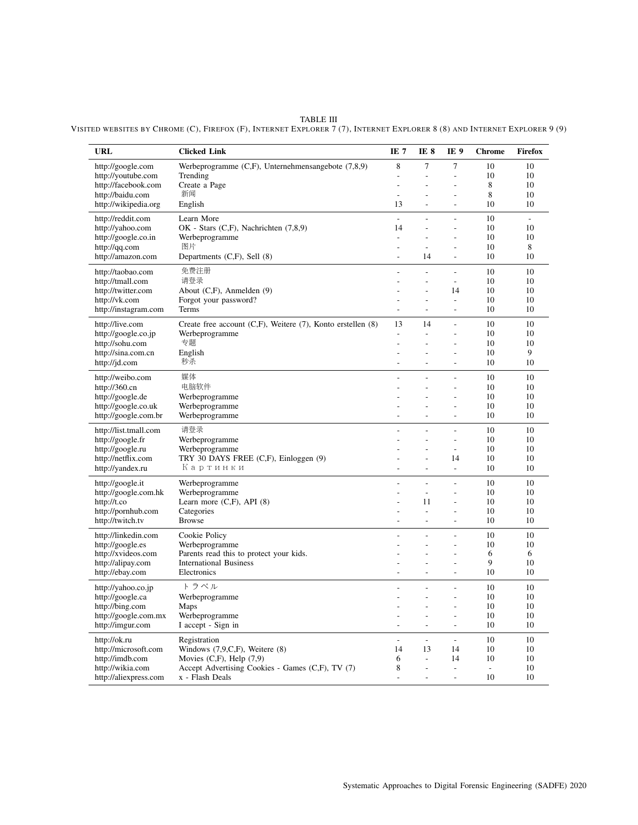TABLE III VISITED WEBSITES BY CHROME (C), FIREFOX (F), INTERNET EXPLORER 7 (7), INTERNET EXPLORER 8 (8) AND INTERNET EXPLORER 9 (9)

| <b>URL</b>                               | <b>Clicked Link</b>                                                                   | IE <sub>7</sub> | IE <sub>8</sub>          | IE <sub>9</sub>                  | <b>Chrome</b> | Firefox       |
|------------------------------------------|---------------------------------------------------------------------------------------|-----------------|--------------------------|----------------------------------|---------------|---------------|
| http://google.com                        | Werbeprogramme $(C,F)$ , Unternehmensangebote $(7,8,9)$                               | 8               | $\tau$                   | 7                                | 10            | 10            |
| http://youtube.com                       | Trending                                                                              |                 | L,                       | $\overline{a}$                   | 10            | 10            |
| http://facebook.com                      | Create a Page<br>新闻                                                                   |                 |                          | $\overline{a}$                   | 8             | 10            |
| http://baidu.com<br>http://wikipedia.org | English                                                                               | ÷.<br>13        | L.<br>L.                 | L.<br>÷.                         | 8<br>10       | 10<br>10      |
| http://reddit.com                        | Learn More                                                                            | $\sim$          | $\sim$                   | L,                               | 10            | $\mathcal{L}$ |
| http://yahoo.com                         | OK - Stars (C,F), Nachrichten (7,8,9)                                                 | 14              | L,                       | $\overline{a}$                   | 10            | 10            |
| http://google.co.in                      | Werbeprogramme                                                                        | ÷,              |                          |                                  | 10            | 10            |
| http://qq.com                            | 图片                                                                                    | ÷,              | $\overline{\phantom{a}}$ | L,                               | 10            | 8             |
| http://amazon.com                        | Departments $(C,F)$ , Sell $(8)$                                                      | L.              | 14                       | L.                               | 10            | 10            |
| http://taobao.com                        | 免费注册                                                                                  |                 |                          |                                  | 10            | 10            |
| http://tmall.com                         | 请登录                                                                                   |                 | L.                       | $\overline{a}$                   | 10            | 10            |
| http://twitter.com                       | About (C,F), Anmelden (9)                                                             | ÷.              | L,<br>L.                 | 14<br>$\overline{a}$             | 10            | 10<br>10      |
| http://vk.com<br>http://instagram.com    | Forgot your password?<br>Terms                                                        | ÷.              | $\overline{a}$           | ÷                                | 10<br>10      | 10            |
|                                          |                                                                                       |                 |                          | $\overline{a}$                   |               |               |
| http://live.com<br>http://google.co.jp   | Create free account $(C,F)$ , Weitere $(7)$ , Konto erstellen $(8)$<br>Werbeprogramme | 13              | 14<br>$\overline{a}$     | $\overline{a}$                   | 10<br>10      | 10<br>10      |
| http://sohu.com                          | 专题                                                                                    | $\overline{a}$  |                          | $\overline{a}$                   | 10            | 10            |
| http://sina.com.cn                       | English                                                                               | ٠               | ÷,                       | ÷,                               | 10            | 9             |
| http://jd.com                            | 秒杀                                                                                    | ÷,              | $\overline{\phantom{a}}$ | $\overline{\phantom{a}}$         | 10            | 10            |
| http://weibo.com                         | 媒体                                                                                    |                 | L,                       | $\overline{a}$                   | 10            | 10            |
| http://360.cn                            | 电脑软件                                                                                  | ÷.              | L,                       | $\overline{a}$                   | 10            | 10            |
| http://google.de                         | Werbeprogramme                                                                        |                 | L.                       | L.                               | 10            | 10            |
| http://google.co.uk                      | Werbeprogramme                                                                        |                 | L.                       | $\overline{a}$                   | 10            | 10            |
| http://google.com.br                     | Werbeprogramme                                                                        | L.              | L.                       | $\overline{a}$                   | 10            | 10            |
| http://list.tmall.com                    | 请登录                                                                                   |                 | L,                       | $\overline{a}$                   | 10            | 10            |
| http://google.fr<br>http://google.ru     | Werbeprogramme<br>Werbeprogramme                                                      | ÷               | ÷,<br>÷,                 | $\overline{a}$<br>$\overline{a}$ | 10<br>10      | 10<br>10      |
| http://netflix.com                       | TRY 30 DAYS FREE (C,F), Einloggen (9)                                                 | ÷.              | L,                       | 14                               | 10            | 10            |
| http://yandex.ru                         | Картинки                                                                              |                 | $\overline{\phantom{a}}$ | $\blacksquare$                   | 10            | 10            |
| http://google.it                         | Werbeprogramme                                                                        |                 | L,                       | $\overline{a}$                   | 10            | 10            |
| http://google.com.hk                     | Werbeprogramme                                                                        |                 | J.                       | $\overline{a}$                   | 10            | 10            |
| http://t.co                              | Learn more $(C,F)$ , API $(8)$                                                        |                 | 11                       | $\overline{a}$                   | 10            | 10            |
| http://pornhub.com                       | Categories                                                                            |                 | $\overline{a}$           | $\overline{a}$                   | 10            | 10            |
| http://twitch.tv                         | <b>Browse</b>                                                                         | ÷.              | $\overline{a}$           | $\overline{a}$                   | 10            | 10            |
| http://linkedin.com                      | Cookie Policy                                                                         |                 | $\overline{a}$           | $\overline{a}$                   | 10            | 10            |
| http://google.es                         | Werbeprogramme<br>Parents read this to protect your kids.                             |                 | Ĭ.                       | $\overline{a}$                   | 10<br>6       | 10<br>6       |
| http://xvideos.com<br>http://alipay.com  | <b>International Business</b>                                                         |                 |                          | $\overline{a}$                   | $\mathbf{Q}$  | 10            |
| http://ebay.com                          | Electronics                                                                           | ٠               | $\overline{a}$           | $\overline{a}$                   | 10            | 10            |
| http://yahoo.co.jp                       | トラベル                                                                                  |                 | L,                       | $\overline{a}$                   | 10            | 10            |
| http://google.ca                         | Werbeprogramme                                                                        | L.              | J.                       | L,                               | 10            | 10            |
| http://bing.com                          | Maps                                                                                  |                 |                          |                                  | 10            | 10            |
| http://google.com.mx                     | Werbeprogramme                                                                        |                 | L,                       | $\overline{a}$                   | 10            | 10            |
| http://imgur.com                         | I accept - Sign in                                                                    | ٠               | $\overline{a}$           | L,                               | 10            | 10            |
| http://ok.ru                             | Registration                                                                          | ÷.              | $\overline{a}$           | $\overline{a}$                   | 10            | 10            |
| http://microsoft.com<br>http://imdb.com  | Windows $(7,9,C,F)$ , Weitere $(8)$<br>Movies $(C,F)$ , Help $(7,9)$                  | 14<br>6         | 13<br>$\sim$             | 14<br>14                         | 10<br>10      | 10<br>10      |
| http://wikia.com                         | Accept Advertising Cookies - Games (C,F), TV (7)                                      | 8               | Ĭ.                       | $\overline{\phantom{a}}$         | L,            | 10            |
| http://aliexpress.com                    | x - Flash Deals                                                                       | L,              | L,                       | $\overline{a}$                   | 10            | 10            |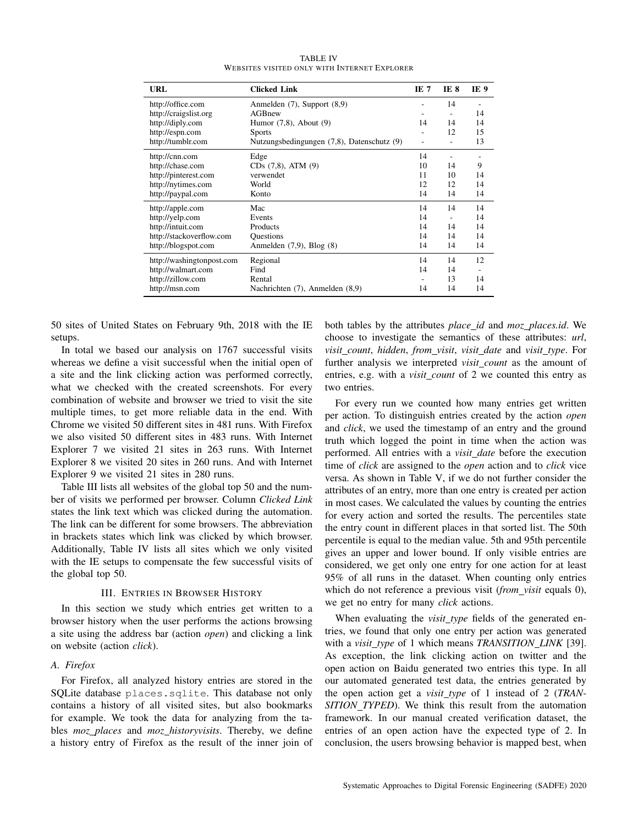| URL                       | <b>Clicked Link</b>                        | IE 7           | IE 8 | IE 9 |  |
|---------------------------|--------------------------------------------|----------------|------|------|--|
| http://office.com         | Anmelden $(7)$ , Support $(8,9)$           |                |      |      |  |
| http://craigslist.org     | AGBnew                                     | ۰              |      | 14   |  |
| http://diply.com          | Humor $(7,8)$ , About $(9)$                | 14             | 14   | 14   |  |
| http://espn.com           | <b>Sports</b>                              | $\overline{a}$ | 12   | 15   |  |
| http://tumblr.com         | Nutzungsbedingungen (7,8), Datenschutz (9) | ۰              |      | 13   |  |
| http://cnn.com            | Edge                                       | 14             |      |      |  |
| http://chase.com          | $CDs$ $(7,8)$ , ATM $(9)$                  | 10             | 14   | 9    |  |
| http://pinterest.com      | verwendet                                  | 11             | 10   | 14   |  |
| http://nytimes.com        | World                                      | 12             | 12   | 14   |  |
| http://paypal.com         | Konto                                      | 14             | 14   | 14   |  |
| http://apple.com          | Mac                                        | 14             | 14   | 14   |  |
| http://yelp.com           | Events                                     | 14             |      | 14   |  |
| http://intuit.com         | Products                                   | 14             | 14   | 14   |  |
| http://stackoverflow.com  | <b>Questions</b>                           | 14             | 14   | 14   |  |
| http://blogspot.com       | Anmelden $(7,9)$ , Blog $(8)$              | 14             | 14   | 14   |  |
| http://washingtonpost.com | Regional                                   | 14             | 14   | 12   |  |
| http://walmart.com        | Find                                       | 14             | 14   | ٠    |  |
| http://zillow.com         | Rental                                     | ۰              | 13   | 14   |  |
| http://msn.com            | Nachrichten (7), Anmelden (8,9)            | 14             | 14   | 14   |  |

TABLE IV WEBSITES VISITED ONLY WITH INTERNET EXPLORER

50 sites of United States on February 9th, 2018 with the IE setups.

In total we based our analysis on 1767 successful visits whereas we define a visit successful when the initial open of a site and the link clicking action was performed correctly, what we checked with the created screenshots. For every combination of website and browser we tried to visit the site multiple times, to get more reliable data in the end. With Chrome we visited 50 different sites in 481 runs. With Firefox we also visited 50 different sites in 483 runs. With Internet Explorer 7 we visited 21 sites in 263 runs. With Internet Explorer 8 we visited 20 sites in 260 runs. And with Internet Explorer 9 we visited 21 sites in 280 runs.

Table III lists all websites of the global top 50 and the number of visits we performed per browser. Column *Clicked Link* states the link text which was clicked during the automation. The link can be different for some browsers. The abbreviation in brackets states which link was clicked by which browser. Additionally, Table IV lists all sites which we only visited with the IE setups to compensate the few successful visits of the global top 50.

#### III. ENTRIES IN BROWSER HISTORY

In this section we study which entries get written to a browser history when the user performs the actions browsing a site using the address bar (action *open*) and clicking a link on website (action *click*).

## *A. Firefox*

For Firefox, all analyzed history entries are stored in the SQLite database places.sqlite. This database not only contains a history of all visited sites, but also bookmarks for example. We took the data for analyzing from the tables *moz places* and *moz historyvisits*. Thereby, we define a history entry of Firefox as the result of the inner join of both tables by the attributes *place id* and *moz places.id*. We choose to investigate the semantics of these attributes: *url*, *visit count*, *hidden*, *from visit*, *visit date* and *visit type*. For further analysis we interpreted *visit count* as the amount of entries, e.g. with a *visit count* of 2 we counted this entry as two entries.

For every run we counted how many entries get written per action. To distinguish entries created by the action *open* and *click*, we used the timestamp of an entry and the ground truth which logged the point in time when the action was performed. All entries with a *visit date* before the execution time of *click* are assigned to the *open* action and to *click* vice versa. As shown in Table V, if we do not further consider the attributes of an entry, more than one entry is created per action in most cases. We calculated the values by counting the entries for every action and sorted the results. The percentiles state the entry count in different places in that sorted list. The 50th percentile is equal to the median value. 5th and 95th percentile gives an upper and lower bound. If only visible entries are considered, we get only one entry for one action for at least 95% of all runs in the dataset. When counting only entries which do not reference a previous visit (*from\_visit* equals 0), we get no entry for many *click* actions.

When evaluating the *visit\_type* fields of the generated entries, we found that only one entry per action was generated with a *visit type* of 1 which means *TRANSITION LINK* [39]. As exception, the link clicking action on twitter and the open action on Baidu generated two entries this type. In all our automated generated test data, the entries generated by the open action get a *visit type* of 1 instead of 2 (*TRAN-SITION TYPED*). We think this result from the automation framework. In our manual created verification dataset, the entries of an open action have the expected type of 2. In conclusion, the users browsing behavior is mapped best, when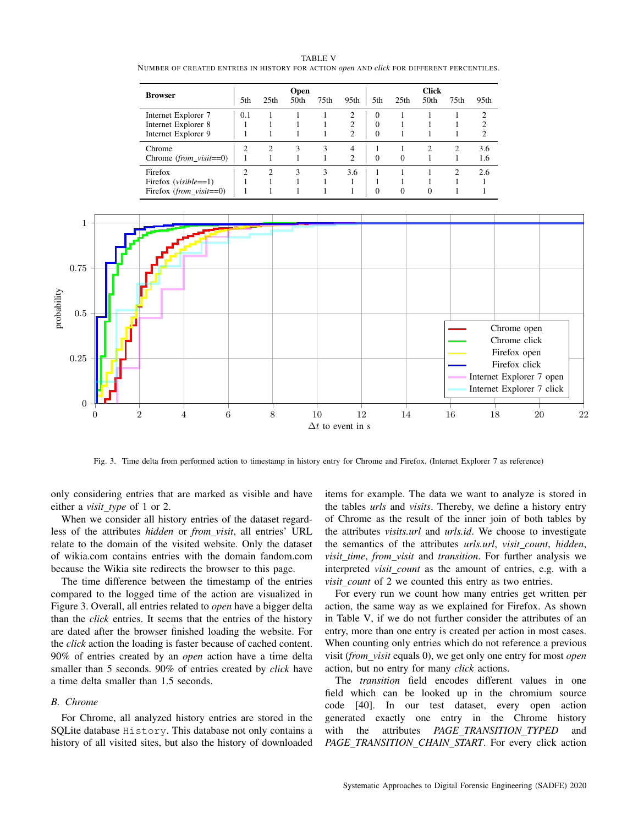|                               | <b>Open</b> |                  |      |      |                |          | <b>Click</b>     |      |                  |                |  |  |
|-------------------------------|-------------|------------------|------|------|----------------|----------|------------------|------|------------------|----------------|--|--|
| <b>Browser</b>                | 5th         | 25 <sub>th</sub> | 50th | 75th | 95th           | 5th      | 25 <sub>th</sub> | 50th | 75 <sub>th</sub> | 95th           |  |  |
| Internet Explorer 7           | 0.1         |                  |      |      | 2              | $\Omega$ |                  |      |                  | 2              |  |  |
| Internet Explorer 8           |             |                  |      |      | 2              | 0        |                  |      |                  | 2              |  |  |
| Internet Explorer 9           |             |                  |      |      | $\overline{c}$ | $\theta$ |                  |      |                  | $\overline{c}$ |  |  |
| Chrome                        | 2           | $\overline{c}$   | 3    | 3    | 4              |          |                  |      | $\overline{c}$   | 3.6            |  |  |
| Chrome $(from\_visit == 0)$   |             |                  |      |      | 2              | $\Omega$ | $\Omega$         |      |                  | 1.6            |  |  |
| Firefox                       | 2           | $\overline{c}$   | 3    | 3    | 3.6            |          |                  |      | $\mathcal{D}$    | 2.6            |  |  |
| Firefox ( <i>visible</i> ==1) |             |                  |      |      |                |          |                  |      |                  |                |  |  |
| Firefox $(from\_visit == 0)$  |             |                  |      |      |                | $\theta$ | $\Omega$         | 0    |                  |                |  |  |

TABLE V NUMBER OF CREATED ENTRIES IN HISTORY FOR ACTION *open* AND *click* FOR DIFFERENT PERCENTILES.



Fig. 3. Time delta from performed action to timestamp in history entry for Chrome and Firefox. (Internet Explorer 7 as reference)

only considering entries that are marked as visible and have either a *visit type* of 1 or 2.

When we consider all history entries of the dataset regardless of the attributes *hidden* or *from visit*, all entries' URL relate to the domain of the visited website. Only the dataset of wikia.com contains entries with the domain fandom.com because the Wikia site redirects the browser to this page.

The time difference between the timestamp of the entries compared to the logged time of the action are visualized in Figure 3. Overall, all entries related to *open* have a bigger delta than the *click* entries. It seems that the entries of the history are dated after the browser finished loading the website. For the *click* action the loading is faster because of cached content. 90% of entries created by an *open* action have a time delta smaller than 5 seconds. 90% of entries created by *click* have a time delta smaller than 1.5 seconds.

## *B. Chrome*

For Chrome, all analyzed history entries are stored in the SQLite database History. This database not only contains a history of all visited sites, but also the history of downloaded items for example. The data we want to analyze is stored in the tables *urls* and *visits*. Thereby, we define a history entry of Chrome as the result of the inner join of both tables by the attributes *visits.url* and *urls.id*. We choose to investigate the semantics of the attributes *urls.url*, *visit count*, *hidden*, *visit time*, *from visit* and *transition*. For further analysis we interpreted *visit count* as the amount of entries, e.g. with a *visit\_count* of 2 we counted this entry as two entries.

For every run we count how many entries get written per action, the same way as we explained for Firefox. As shown in Table V, if we do not further consider the attributes of an entry, more than one entry is created per action in most cases. When counting only entries which do not reference a previous visit (*from visit* equals 0), we get only one entry for most *open* action, but no entry for many *click* actions.

The *transition* field encodes different values in one field which can be looked up in the chromium source code [40]. In our test dataset, every open action generated exactly one entry in the Chrome history with the attributes *PAGE TRANSITION TYPED* and *PAGE TRANSITION CHAIN START*. For every click action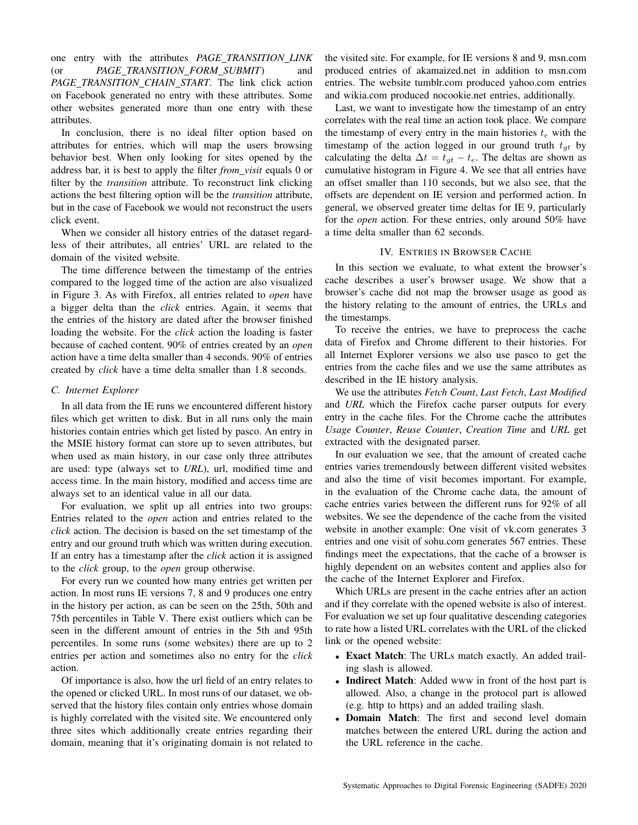one entry with the attributes *PAGE TRANSITION LINK* (or *PAGE TRANSITION FORM SUBMIT*) and *PAGE TRANSITION CHAIN START*. The link click action on Facebook generated no entry with these attributes. Some other websites generated more than one entry with these attributes.

In conclusion, there is no ideal filter option based on attributes for entries, which will map the users browsing behavior best. When only looking for sites opened by the address bar, it is best to apply the filter *from visit* equals 0 or filter by the *transition* attribute. To reconstruct link clicking actions the best filtering option will be the *transition* attribute, but in the case of Facebook we would not reconstruct the users click event.

When we consider all history entries of the dataset regardless of their attributes, all entries' URL are related to the domain of the visited website.

The time difference between the timestamp of the entries compared to the logged time of the action are also visualized in Figure 3. As with Firefox, all entries related to *open* have a bigger delta than the *click* entries. Again, it seems that the entries of the history are dated after the browser finished loading the website. For the *click* action the loading is faster because of cached content. 90% of entries created by an *open* action have a time delta smaller than 4 seconds. 90% of entries created by *click* have a time delta smaller than 1.8 seconds.

### *C. Internet Explorer*

In all data from the IE runs we encountered different history files which get written to disk. But in all runs only the main histories contain entries which get listed by pasco. An entry in the MSIE history format can store up to seven attributes, but when used as main history, in our case only three attributes are used: type (always set to *URL*), url, modified time and access time. In the main history, modified and access time are always set to an identical value in all our data.

For evaluation, we split up all entries into two groups: Entries related to the *open* action and entries related to the *click* action. The decision is based on the set timestamp of the entry and our ground truth which was written during execution. If an entry has a timestamp after the *click* action it is assigned to the *click* group, to the *open* group otherwise.

For every run we counted how many entries get written per action. In most runs IE versions 7, 8 and 9 produces one entry in the history per action, as can be seen on the 25th, 50th and 75th percentiles in Table V. There exist outliers which can be seen in the different amount of entries in the 5th and 95th percentiles. In some runs (some websites) there are up to 2 entries per action and sometimes also no entry for the *click* action.

Of importance is also, how the url field of an entry relates to the opened or clicked URL. In most runs of our dataset, we observed that the history files contain only entries whose domain is highly correlated with the visited site. We encountered only three sites which additionally create entries regarding their domain, meaning that it's originating domain is not related to

the visited site. For example, for IE versions 8 and 9, msn.com produced entries of akamaized.net in addition to msn.com entries. The website tumblr.com produced yahoo.com entries and wikia.com produced nocookie.net entries, additionally.

Last, we want to investigate how the timestamp of an entry correlates with the real time an action took place. We compare the timestamp of every entry in the main histories  $t_e$  with the timestamp of the action logged in our ground truth  $t_{at}$  by calculating the delta  $\Delta t = t_{gt} - t_e$ . The deltas are shown as cumulative histogram in Figure 4. We see that all entries have an offset smaller than 110 seconds, but we also see, that the offsets are dependent on IE version and performed action. In general, we observed greater time deltas for IE 9, particularly for the *open* action. For these entries, only around 50% have a time delta smaller than 62 seconds.

## IV. ENTRIES IN BROWSER CACHE

In this section we evaluate, to what extent the browser's cache describes a user's browser usage. We show that a browser's cache did not map the browser usage as good as the history relating to the amount of entries, the URLs and the timestamps.

To receive the entries, we have to preprocess the cache data of Firefox and Chrome different to their histories. For all Internet Explorer versions we also use pasco to get the entries from the cache files and we use the same attributes as described in the IE history analysis.

We use the attributes *Fetch Count*, *Last Fetch*, *Last Modified* and *URL* which the Firefox cache parser outputs for every entry in the cache files. For the Chrome cache the attributes *Usage Counter*, *Reuse Counter*, *Creation Time* and *URL* get extracted with the designated parser.

In our evaluation we see, that the amount of created cache entries varies tremendously between different visited websites and also the time of visit becomes important. For example, in the evaluation of the Chrome cache data, the amount of cache entries varies between the different runs for 92% of all websites. We see the dependence of the cache from the visited website in another example: One visit of vk.com generates 3 entries and one visit of sohu.com generates 567 entries. These findings meet the expectations, that the cache of a browser is highly dependent on an websites content and applies also for the cache of the Internet Explorer and Firefox.

Which URLs are present in the cache entries after an action and if they correlate with the opened website is also of interest. For evaluation we set up four qualitative descending categories to rate how a listed URL correlates with the URL of the clicked link or the opened website:

- Exact Match: The URLs match exactly. An added trailing slash is allowed.
- Indirect Match: Added www in front of the host part is allowed. Also, a change in the protocol part is allowed (e.g. http to https) and an added trailing slash.
- Domain Match: The first and second level domain matches between the entered URL during the action and the URL reference in the cache.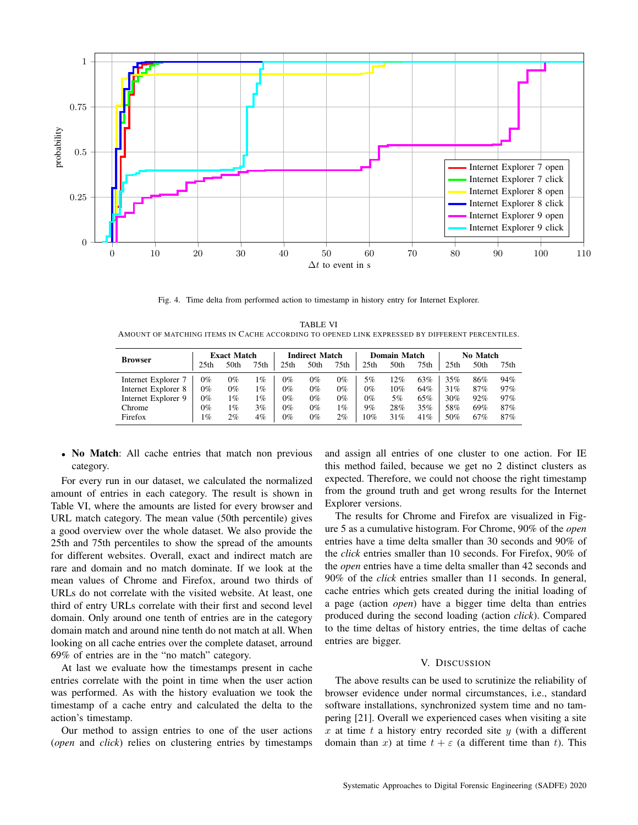

Fig. 4. Time delta from performed action to timestamp in history entry for Internet Explorer.

TABLE VI AMOUNT OF MATCHING ITEMS IN CACHE ACCORDING TO OPENED LINK EXPRESSED BY DIFFERENT PERCENTILES.

| <b>Browser</b>      | <b>Exact Match</b> |       |       | <b>Indirect Match</b> |       |       | Domain Match     |      |      | No Match         |      |                  |
|---------------------|--------------------|-------|-------|-----------------------|-------|-------|------------------|------|------|------------------|------|------------------|
|                     | 25th               | 50th  | 75th  | 25th                  | 50th  | 75th  | 25 <sub>th</sub> | 50th | 75th | 25 <sub>th</sub> | 50th | 75 <sub>th</sub> |
| Internet Explorer 7 | 0%                 | 0%    | 1%    | $0\%$                 | 0%    | 0%    | 5%               | 12%  | 63%  | 35%              | 86%  | 94%              |
| Internet Explorer 8 | $0\%$              | 0%    | $1\%$ | $0\%$                 | 0%    | $0\%$ | $0\%$            | 10%  | 64%  | 31%              | 87%  | 97%              |
| Internet Explorer 9 | $0\%$              | 1%    | $1\%$ | $0\%$                 | $0\%$ | $0\%$ | $0\%$            | 5%   | 65%  | 30%              | 92%  | 97%              |
| Chrome              | 0%                 | 1%    | 3%    | $0\%$                 | $0\%$ | 1%    | 9%               | 28%  | 35%  | 58%              | 69%  | 87%              |
| Firefox             | 1%                 | $2\%$ | 4%    | $0\%$                 | 0%    | $2\%$ | 10%              | 31%  | 41%  | 50%              | 67%  | 87%              |

• No Match: All cache entries that match non previous category.

For every run in our dataset, we calculated the normalized amount of entries in each category. The result is shown in Table VI, where the amounts are listed for every browser and URL match category. The mean value (50th percentile) gives a good overview over the whole dataset. We also provide the 25th and 75th percentiles to show the spread of the amounts for different websites. Overall, exact and indirect match are rare and domain and no match dominate. If we look at the mean values of Chrome and Firefox, around two thirds of URLs do not correlate with the visited website. At least, one third of entry URLs correlate with their first and second level domain. Only around one tenth of entries are in the category domain match and around nine tenth do not match at all. When looking on all cache entries over the complete dataset, arround 69% of entries are in the "no match" category.

At last we evaluate how the timestamps present in cache entries correlate with the point in time when the user action was performed. As with the history evaluation we took the timestamp of a cache entry and calculated the delta to the action's timestamp.

Our method to assign entries to one of the user actions (*open* and *click*) relies on clustering entries by timestamps and assign all entries of one cluster to one action. For IE this method failed, because we get no 2 distinct clusters as expected. Therefore, we could not choose the right timestamp from the ground truth and get wrong results for the Internet Explorer versions.

The results for Chrome and Firefox are visualized in Figure 5 as a cumulative histogram. For Chrome, 90% of the *open* entries have a time delta smaller than 30 seconds and 90% of the *click* entries smaller than 10 seconds. For Firefox, 90% of the *open* entries have a time delta smaller than 42 seconds and 90% of the *click* entries smaller than 11 seconds. In general, cache entries which gets created during the initial loading of a page (action *open*) have a bigger time delta than entries produced during the second loading (action *click*). Compared to the time deltas of history entries, the time deltas of cache entries are bigger.

#### V. DISCUSSION

The above results can be used to scrutinize the reliability of browser evidence under normal circumstances, i.e., standard software installations, synchronized system time and no tampering [21]. Overall we experienced cases when visiting a site x at time t a history entry recorded site  $y$  (with a different domain than x) at time  $t + \varepsilon$  (a different time than t). This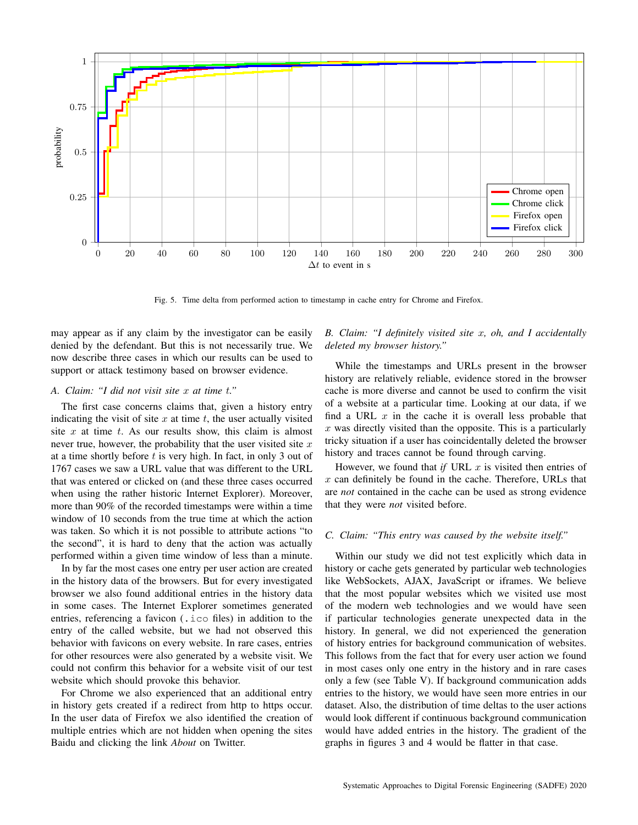

Fig. 5. Time delta from performed action to timestamp in cache entry for Chrome and Firefox.

may appear as if any claim by the investigator can be easily denied by the defendant. But this is not necessarily true. We now describe three cases in which our results can be used to support or attack testimony based on browser evidence.

## *A. Claim: "I did not visit site* x *at time* t*."*

The first case concerns claims that, given a history entry indicating the visit of site  $x$  at time  $t$ , the user actually visited site  $x$  at time  $t$ . As our results show, this claim is almost never true, however, the probability that the user visited site  $x$ at a time shortly before  $t$  is very high. In fact, in only 3 out of 1767 cases we saw a URL value that was different to the URL that was entered or clicked on (and these three cases occurred when using the rather historic Internet Explorer). Moreover, more than 90% of the recorded timestamps were within a time window of 10 seconds from the true time at which the action was taken. So which it is not possible to attribute actions "to the second", it is hard to deny that the action was actually performed within a given time window of less than a minute.

In by far the most cases one entry per user action are created in the history data of the browsers. But for every investigated browser we also found additional entries in the history data in some cases. The Internet Explorer sometimes generated entries, referencing a favicon (.ico files) in addition to the entry of the called website, but we had not observed this behavior with favicons on every website. In rare cases, entries for other resources were also generated by a website visit. We could not confirm this behavior for a website visit of our test website which should provoke this behavior.

For Chrome we also experienced that an additional entry in history gets created if a redirect from http to https occur. In the user data of Firefox we also identified the creation of multiple entries which are not hidden when opening the sites Baidu and clicking the link *About* on Twitter.

# *B. Claim: "I definitely visited site* x*, oh, and I accidentally deleted my browser history."*

While the timestamps and URLs present in the browser history are relatively reliable, evidence stored in the browser cache is more diverse and cannot be used to confirm the visit of a website at a particular time. Looking at our data, if we find a URL  $x$  in the cache it is overall less probable that  $x$  was directly visited than the opposite. This is a particularly tricky situation if a user has coincidentally deleted the browser history and traces cannot be found through carving.

However, we found that *if* URL  $x$  is visited then entries of  $x$  can definitely be found in the cache. Therefore, URLs that are *not* contained in the cache can be used as strong evidence that they were *not* visited before.

#### *C. Claim: "This entry was caused by the website itself."*

Within our study we did not test explicitly which data in history or cache gets generated by particular web technologies like WebSockets, AJAX, JavaScript or iframes. We believe that the most popular websites which we visited use most of the modern web technologies and we would have seen if particular technologies generate unexpected data in the history. In general, we did not experienced the generation of history entries for background communication of websites. This follows from the fact that for every user action we found in most cases only one entry in the history and in rare cases only a few (see Table V). If background communication adds entries to the history, we would have seen more entries in our dataset. Also, the distribution of time deltas to the user actions would look different if continuous background communication would have added entries in the history. The gradient of the graphs in figures 3 and 4 would be flatter in that case.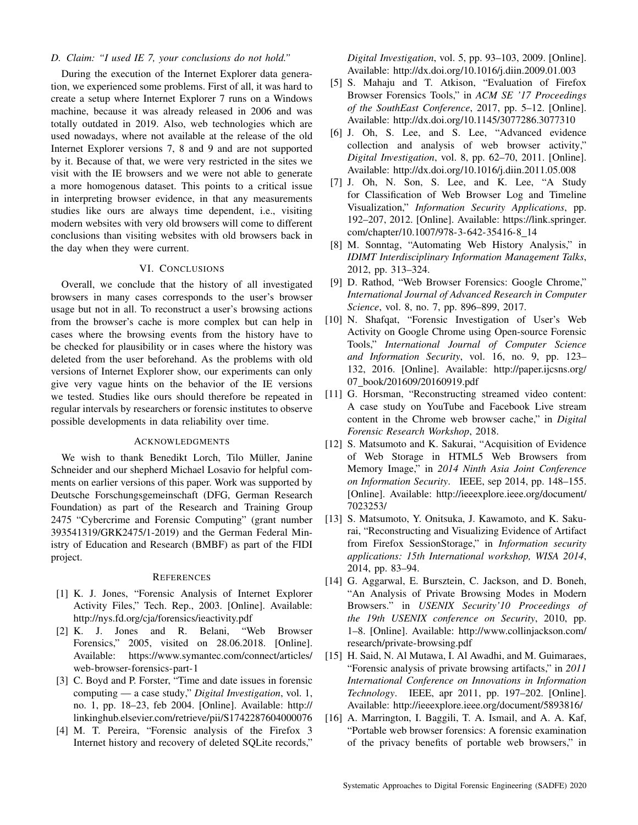## *D. Claim: "I used IE 7, your conclusions do not hold."*

During the execution of the Internet Explorer data generation, we experienced some problems. First of all, it was hard to create a setup where Internet Explorer 7 runs on a Windows machine, because it was already released in 2006 and was totally outdated in 2019. Also, web technologies which are used nowadays, where not available at the release of the old Internet Explorer versions 7, 8 and 9 and are not supported by it. Because of that, we were very restricted in the sites we visit with the IE browsers and we were not able to generate a more homogenous dataset. This points to a critical issue in interpreting browser evidence, in that any measurements studies like ours are always time dependent, i.e., visiting modern websites with very old browsers will come to different conclusions than visiting websites with old browsers back in the day when they were current.

## VI. CONCLUSIONS

Overall, we conclude that the history of all investigated browsers in many cases corresponds to the user's browser usage but not in all. To reconstruct a user's browsing actions from the browser's cache is more complex but can help in cases where the browsing events from the history have to be checked for plausibility or in cases where the history was deleted from the user beforehand. As the problems with old versions of Internet Explorer show, our experiments can only give very vague hints on the behavior of the IE versions we tested. Studies like ours should therefore be repeated in regular intervals by researchers or forensic institutes to observe possible developments in data reliability over time.

#### ACKNOWLEDGMENTS

We wish to thank Benedikt Lorch, Tilo Müller, Janine Schneider and our shepherd Michael Losavio for helpful comments on earlier versions of this paper. Work was supported by Deutsche Forschungsgemeinschaft (DFG, German Research Foundation) as part of the Research and Training Group 2475 "Cybercrime and Forensic Computing" (grant number 393541319/GRK2475/1-2019) and the German Federal Ministry of Education and Research (BMBF) as part of the FIDI project.

#### **REFERENCES**

- [1] K. J. Jones, "Forensic Analysis of Internet Explorer Activity Files," Tech. Rep., 2003. [Online]. Available: http://nys.fd.org/cja/forensics/ieactivity.pdf
- [2] K. J. Jones and R. Belani, "Web Browser Forensics," 2005, visited on 28.06.2018. [Online]. Available: https://www.symantec.com/connect/articles/ web-browser-forensics-part-1
- [3] C. Boyd and P. Forster, "Time and date issues in forensic computing — a case study," *Digital Investigation*, vol. 1, no. 1, pp. 18–23, feb 2004. [Online]. Available: http:// linkinghub.elsevier.com/retrieve/pii/S1742287604000076
- [4] M. T. Pereira, "Forensic analysis of the Firefox 3 Internet history and recovery of deleted SQLite records,"

*Digital Investigation*, vol. 5, pp. 93–103, 2009. [Online]. Available: http://dx.doi.org/10.1016/j.diin.2009.01.003

- [5] S. Mahaju and T. Atkison, "Evaluation of Firefox Browser Forensics Tools," in *ACM SE '17 Proceedings of the SouthEast Conference*, 2017, pp. 5–12. [Online]. Available: http://dx.doi.org/10.1145/3077286.3077310
- [6] J. Oh, S. Lee, and S. Lee, "Advanced evidence collection and analysis of web browser activity," *Digital Investigation*, vol. 8, pp. 62–70, 2011. [Online]. Available: http://dx.doi.org/10.1016/j.diin.2011.05.008
- [7] J. Oh, N. Son, S. Lee, and K. Lee, "A Study for Classification of Web Browser Log and Timeline Visualization," *Information Security Applications*, pp. 192–207, 2012. [Online]. Available: https://link.springer. com/chapter/10.1007/978-3-642-35416-8 14
- [8] M. Sonntag, "Automating Web History Analysis," in *IDIMT Interdisciplinary Information Management Talks*, 2012, pp. 313–324.
- [9] D. Rathod, "Web Browser Forensics: Google Chrome," *International Journal of Advanced Research in Computer Science*, vol. 8, no. 7, pp. 896–899, 2017.
- [10] N. Shafqat, "Forensic Investigation of User's Web Activity on Google Chrome using Open-source Forensic Tools," *International Journal of Computer Science and Information Security*, vol. 16, no. 9, pp. 123– 132, 2016. [Online]. Available: http://paper.ijcsns.org/ 07 book/201609/20160919.pdf
- [11] G. Horsman, "Reconstructing streamed video content: A case study on YouTube and Facebook Live stream content in the Chrome web browser cache," in *Digital Forensic Research Workshop*, 2018.
- [12] S. Matsumoto and K. Sakurai, "Acquisition of Evidence of Web Storage in HTML5 Web Browsers from Memory Image," in *2014 Ninth Asia Joint Conference on Information Security*. IEEE, sep 2014, pp. 148–155. [Online]. Available: http://ieeexplore.ieee.org/document/ 7023253/
- [13] S. Matsumoto, Y. Onitsuka, J. Kawamoto, and K. Sakurai, "Reconstructing and Visualizing Evidence of Artifact from Firefox SessionStorage," in *Information security applications: 15th International workshop, WISA 2014*, 2014, pp. 83–94.
- [14] G. Aggarwal, E. Bursztein, C. Jackson, and D. Boneh, "An Analysis of Private Browsing Modes in Modern Browsers." in *USENIX Security'10 Proceedings of the 19th USENIX conference on Security*, 2010, pp. 1–8. [Online]. Available: http://www.collinjackson.com/ research/private-browsing.pdf
- [15] H. Said, N. Al Mutawa, I. Al Awadhi, and M. Guimaraes, "Forensic analysis of private browsing artifacts," in *2011 International Conference on Innovations in Information Technology*. IEEE, apr 2011, pp. 197–202. [Online]. Available: http://ieeexplore.ieee.org/document/5893816/
- [16] A. Marrington, I. Baggili, T. A. Ismail, and A. A. Kaf, "Portable web browser forensics: A forensic examination of the privacy benefits of portable web browsers," in